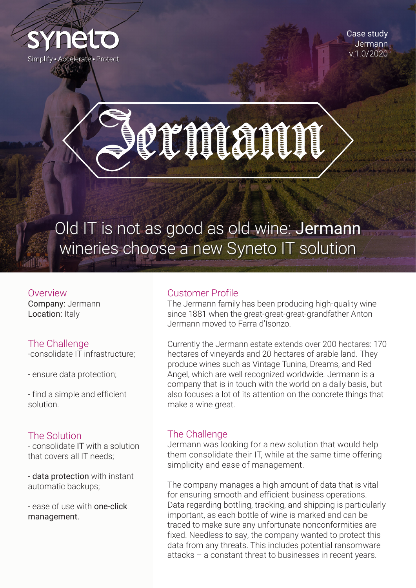

Case study **Jermann** v.1.0/2020

# CLINANIE

## Old IT is not as good as old wine: Jermann wineries choose a new Syneto IT solution

Overview Company: Jermann Location: Italy

### The Challenge

-consolidate IT infrastructure;

- ensure data protection;

- find a simple and efficient solution.

#### The Solution

- consolidate IT with a solution that covers all IT needs;

- data protection with instant automatic backups;

- ease of use with one-click management.

#### Customer Profile

The Jermann family has been producing high-quality wine since 1881 when the great-great-great-grandfather Anton Jermann moved to Farra d'Isonzo.

Currently the Jermann estate extends over 200 hectares: 170 hectares of vineyards and 20 hectares of arable land. They produce wines such as Vintage Tunina, Dreams, and Red Angel, which are well recognized worldwide. Jermann is a company that is in touch with the world on a daily basis, but also focuses a lot of its attention on the concrete things that make a wine great.

### The Challenge

Jermann was looking for a new solution that would help them consolidate their IT, while at the same time offering simplicity and ease of management.

The company manages a high amount of data that is vital for ensuring smooth and efficient business operations. Data regarding bottling, tracking, and shipping is particularly important, as each bottle of wine is marked and can be traced to make sure any unfortunate nonconformities are fixed. Needless to say, the company wanted to protect this data from any threats. This includes potential ransomware attacks – a constant threat to businesses in recent years.